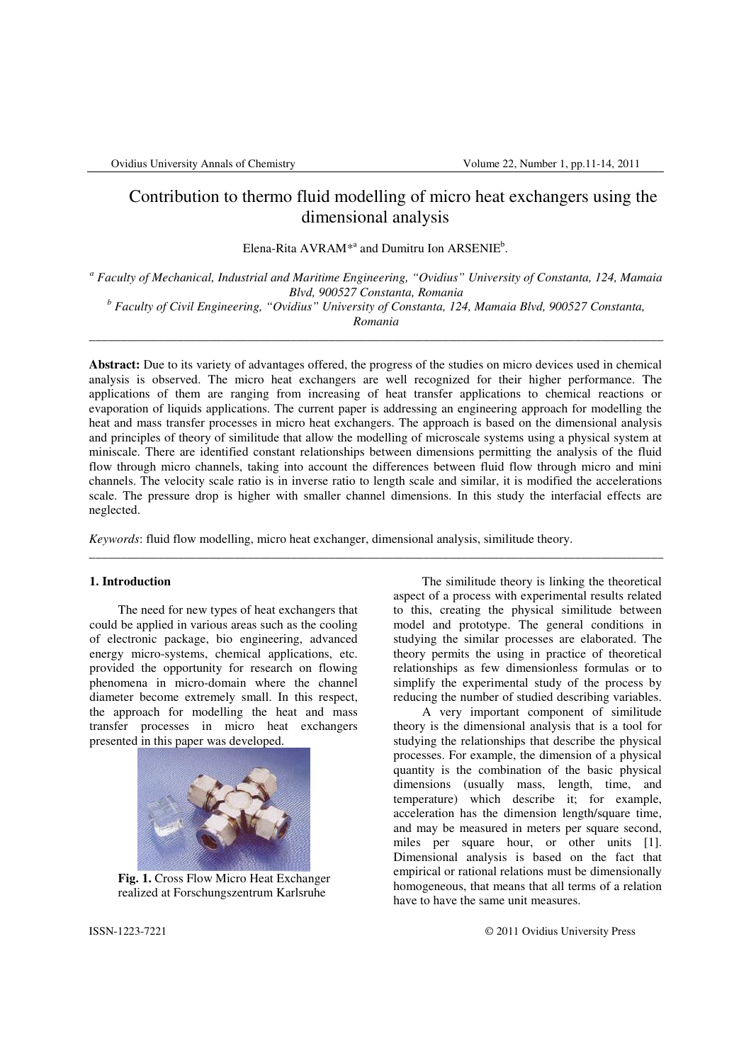# Contribution to thermo fluid modelling of micro heat exchangers using the dimensional analysis

Elena-Rita  $AVRAM^{*a}$  and Dumitru Ion  $ARSENIE^b$ .

*a Faculty of Mechanical, Industrial and Maritime Engineering, "Ovidius" University of Constanta, 124, Mamaia Blvd, 900527 Constanta, Romania* 

*b Faculty of Civil Engineering, "Ovidius" University of Constanta, 124, Mamaia Blvd, 900527 Constanta,* 

*Romania* \_\_\_\_\_\_\_\_\_\_\_\_\_\_\_\_\_\_\_\_\_\_\_\_\_\_\_\_\_\_\_\_\_\_\_\_\_\_\_\_\_\_\_\_\_\_\_\_\_\_\_\_\_\_\_\_\_\_\_\_\_\_\_\_\_\_\_\_\_\_\_\_\_\_\_\_\_\_\_\_\_\_\_\_\_\_\_\_\_\_\_

**Abstract:** Due to its variety of advantages offered, the progress of the studies on micro devices used in chemical analysis is observed. The micro heat exchangers are well recognized for their higher performance. The applications of them are ranging from increasing of heat transfer applications to chemical reactions or evaporation of liquids applications. The current paper is addressing an engineering approach for modelling the heat and mass transfer processes in micro heat exchangers. The approach is based on the dimensional analysis and principles of theory of similitude that allow the modelling of microscale systems using a physical system at miniscale. There are identified constant relationships between dimensions permitting the analysis of the fluid flow through micro channels, taking into account the differences between fluid flow through micro and mini channels. The velocity scale ratio is in inverse ratio to length scale and similar, it is modified the accelerations scale. The pressure drop is higher with smaller channel dimensions. In this study the interfacial effects are neglected.

\_\_\_\_\_\_\_\_\_\_\_\_\_\_\_\_\_\_\_\_\_\_\_\_\_\_\_\_\_\_\_\_\_\_\_\_\_\_\_\_\_\_\_\_\_\_\_\_\_\_\_\_\_\_\_\_\_\_\_\_\_\_\_\_\_\_\_\_\_\_\_\_\_\_\_\_\_\_\_\_\_\_\_\_\_\_\_\_\_\_\_

*Keywords*: fluid flow modelling, micro heat exchanger, dimensional analysis, similitude theory.

## **1. Introduction**

 The need for new types of heat exchangers that could be applied in various areas such as the cooling of electronic package, bio engineering, advanced energy micro-systems, chemical applications, etc. provided the opportunity for research on flowing phenomena in micro-domain where the channel diameter become extremely small. In this respect, the approach for modelling the heat and mass transfer processes in micro heat exchangers presented in this paper was developed.



**Fig. 1.** Cross Flow Micro Heat Exchanger realized at Forschungszentrum Karlsruhe

 The similitude theory is linking the theoretical aspect of a process with experimental results related to this, creating the physical similitude between model and prototype. The general conditions in studying the similar processes are elaborated. The theory permits the using in practice of theoretical relationships as few dimensionless formulas or to simplify the experimental study of the process by reducing the number of studied describing variables.

 A very important component of similitude theory is the dimensional analysis that is a tool for studying the relationships that describe the physical processes. For example, the dimension of a physical quantity is the combination of the basic physical dimensions (usually mass, length, time, and temperature) which describe it; for example, acceleration has the dimension length/square time, and may be measured in meters per square second, miles per square hour, or other units [1]. Dimensional analysis is based on the fact that empirical or rational relations must be dimensionally homogeneous, that means that all terms of a relation have to have the same unit measures.

ISSN-1223-7221 © 2011 Ovidius University Press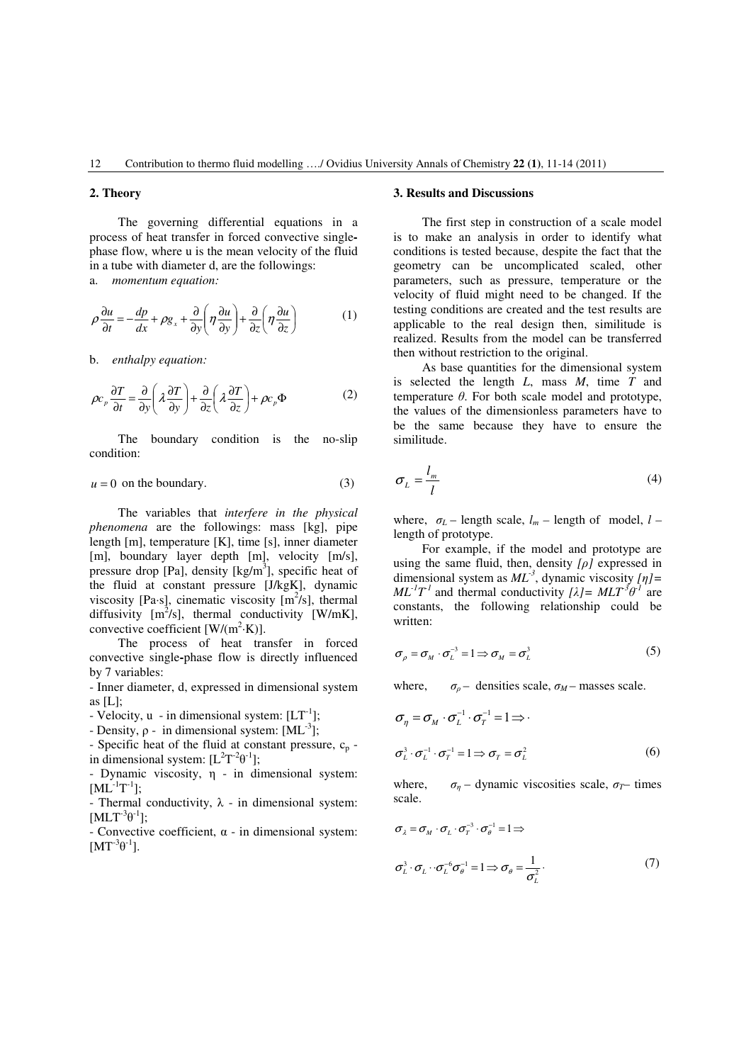#### **2. Theory**

The governing differential equations in a process of heat transfer in forced convective singlephase flow, where u is the mean velocity of the fluid in a tube with diameter d, are the followings: a. *momentum equation:*

$$
\rho \frac{\partial u}{\partial t} = -\frac{dp}{dx} + \rho g_x + \frac{\partial}{\partial y} \left( \eta \frac{\partial u}{\partial y} \right) + \frac{\partial}{\partial z} \left( \eta \frac{\partial u}{\partial z} \right) \tag{1}
$$

b. *enthalpy equation:*

$$
\rho c_p \frac{\partial T}{\partial t} = \frac{\partial}{\partial y} \left( \lambda \frac{\partial T}{\partial y} \right) + \frac{\partial}{\partial z} \left( \lambda \frac{\partial T}{\partial z} \right) + \rho c_p \Phi
$$
 (2)

The boundary condition is the no-slip condition:

$$
u = 0 \text{ on the boundary.} \tag{3}
$$

The variables that *interfere in the physical phenomena* are the followings: mass [kg], pipe length [m], temperature [K], time [s], inner diameter [m], boundary layer depth [m], velocity [m/s], pressure drop [Pa], density [kg/m<sup>3</sup>], specific heat of the fluid at constant pressure [J/kgK], dynamic viscosity [Pa·s], cinematic viscosity  $[m^2/s]$ , thermal diffusivity  $[m^2/s]$ , thermal conductivity [W/mK], convective coefficient  $[W/(m^2 \cdot K)]$ .

The process of heat transfer in forced convective single**-**phase flow is directly influenced by 7 variables:

- Inner diameter, d, expressed in dimensional system as [L];

- Velocity,  $u$  - in dimensional system:  $[LT^{-1}]$ ;

- Density,  $ρ$  - in dimensional system: [ML<sup>-3</sup>];

- Specific heat of the fluid at constant pressure,  $c_p$  in dimensional system:  $[L^2T^{-2}\theta^{-1}]$ ;

- Dynamic viscosity, η - in dimensional system:  $[ML^{-1}T^{-1}];$ 

- Thermal conductivity,  $\lambda$  - in dimensional system:  $[MLT^{-3}\theta^{-1}];$ 

- Convective coefficient, α - in dimensional system:  $[MT^{-3}\theta^{-1}]$ .

#### **3. Results and Discussions**

The first step in construction of a scale model is to make an analysis in order to identify what conditions is tested because, despite the fact that the geometry can be uncomplicated scaled, other parameters, such as pressure, temperature or the velocity of fluid might need to be changed. If the testing conditions are created and the test results are applicable to the real design then, similitude is realized. Results from the model can be transferred then without restriction to the original.

As base quantities for the dimensional system is selected the length *L*, mass *M*, time *T* and temperature  $\theta$ . For both scale model and prototype, the values of the dimensionless parameters have to be the same because they have to ensure the similitude.

$$
\sigma_L = \frac{l_m}{l} \tag{4}
$$

where,  $\sigma_l$  – length scale,  $l_m$  – length of model,  $l$  – length of prototype.

For example, if the model and prototype are using the same fluid, then, density *[*ρ*]* expressed in dimensional system as  $ML^{-3}$ , dynamic viscosity  $[n]$  =  $ML^{-1}T^{-1}$  and thermal conductivity  $[\lambda] = MLT^{3}\theta^{-1}$  are constants, the following relationship could be written:

$$
\sigma_{\rho} = \sigma_{M} \cdot \sigma_{L}^{-3} = 1 \Longrightarrow \sigma_{M} = \sigma_{L}^{3}
$$
 (5)

where,  $\sigma_{\rho}$  – densities scale,  $\sigma_{M}$  – masses scale.

$$
\sigma_{\eta} = \sigma_{M} \cdot \sigma_{L}^{-1} \cdot \sigma_{T}^{-1} = 1 \Longrightarrow
$$
  

$$
\sigma_{L}^{3} \cdot \sigma_{L}^{-1} \cdot \sigma_{T}^{-1} = 1 \Longrightarrow \sigma_{T} = \sigma_{L}^{2}
$$
 (6)

where,  $\sigma_{\eta}$  – dynamic viscosities scale,  $\sigma_T$ – times scale.

$$
\sigma_{\lambda} = \sigma_{M} \cdot \sigma_{L} \cdot \sigma_{T}^{-3} \cdot \sigma_{\theta}^{-1} = 1 \Rightarrow
$$
  

$$
\sigma_{L}^{3} \cdot \sigma_{L} \cdot \sigma_{L}^{-6} \sigma_{\theta}^{-1} = 1 \Rightarrow \sigma_{\theta} = \frac{1}{\sigma_{L}^{2}}.
$$
 (7)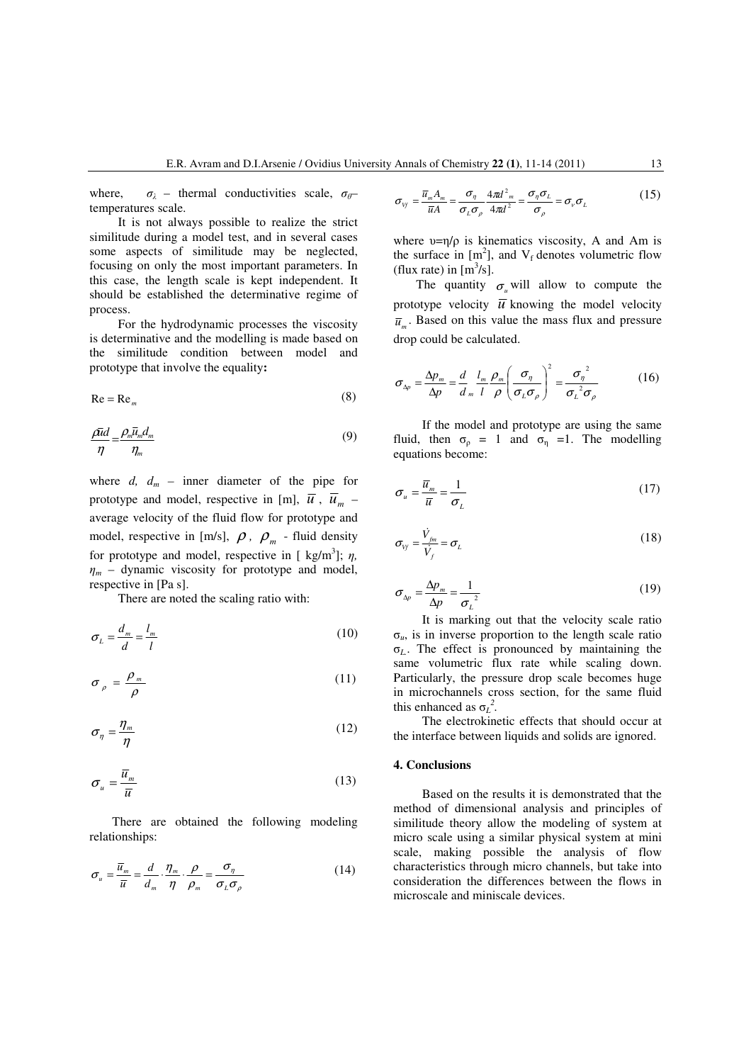where,  $\sigma_{\lambda}$  – thermal conductivities scale,  $\sigma_{\theta}$ – temperatures scale.

It is not always possible to realize the strict similitude during a model test, and in several cases some aspects of similitude may be neglected, focusing on only the most important parameters. In this case, the length scale is kept independent. It should be established the determinative regime of process.

For the hydrodynamic processes the viscosity is determinative and the modelling is made based on the similitude condition between model and prototype that involve the equality**:** 

$$
\text{Re} = \text{Re}_m \tag{8}
$$

$$
\frac{\rho \bar{u}d}{\eta} = \frac{\rho_m \bar{u}_m d_m}{\eta_m} \tag{9}
$$

where  $d$ ,  $d_m$  – inner diameter of the pipe for prototype and model, respective in [m],  $\overline{u}$ ,  $\overline{u}_m$  – average velocity of the fluid flow for prototype and model, respective in [m/s],  $\rho$ ,  $\rho_m$  - fluid density for prototype and model, respective in  $[ \text{ kg/m}^3]; \eta,$  $\eta_m$  – dynamic viscosity for prototype and model, respective in [Pa s].

There are noted the scaling ratio with:

$$
\sigma_L = \frac{d_m}{d} = \frac{l_m}{l} \tag{10}
$$

$$
\sigma_{\rho} = \frac{\rho_m}{\rho} \tag{11}
$$

$$
\sigma_{\eta} = \frac{\eta_m}{\eta} \tag{12}
$$

$$
\sigma_u = \frac{\overline{u}_m}{\overline{u}} \tag{13}
$$

There are obtained the following modeling relationships:

$$
\sigma_u = \frac{\overline{u}_m}{\overline{u}} = \frac{d}{d_m} \cdot \frac{\eta_m}{\eta} \cdot \frac{\rho}{\rho_m} = \frac{\sigma_\eta}{\sigma_L \sigma_\rho}
$$
(14)

$$
\sigma_{v_f} = \frac{\overline{u}_m A_m}{\overline{u} A} = \frac{\sigma_\eta}{\sigma_L \sigma_\rho} \frac{4\pi d^2_m}{4\pi d^2} = \frac{\sigma_\eta \sigma_L}{\sigma_\rho} = \sigma_v \sigma_L \tag{15}
$$

where  $v = \eta/\rho$  is kinematics viscosity, A and Am is the surface in  $[m^2]$ , and  $V_f$  denotes volumetric flow (flux rate) in  $[m^3/s]$ .

The quantity  $\sigma_u$  will allow to compute the prototype velocity  $\overline{u}$  knowing the model velocity  $\overline{u}_m$ . Based on this value the mass flux and pressure drop could be calculated.

$$
\sigma_{\Delta p} = \frac{\Delta p_m}{\Delta p} = \frac{d}{d_m} \frac{l_m}{l} \frac{\rho_m}{\rho} \left( \frac{\sigma_{\eta}}{\sigma_L \sigma_{\rho}} \right)^2 = \frac{\sigma_{\eta}^2}{\sigma_L^2 \sigma_{\rho}}
$$
(16)

 If the model and prototype are using the same fluid, then  $\sigma_{\rho} = 1$  and  $\sigma_{\eta} = 1$ . The modelling equations become:

$$
\sigma_u = \frac{\overline{u}_m}{\overline{u}} = \frac{1}{\sigma_L} \tag{17}
$$

$$
\sigma_{\nu_f} = \frac{\dot{V}_{\scriptscriptstyle{fin}}}{\dot{V}_{\scriptscriptstyle{f}}} = \sigma_{\scriptscriptstyle{L}} \tag{18}
$$

$$
\sigma_{\Delta p} = \frac{\Delta p_m}{\Delta p} = \frac{1}{\sigma_L^2} \tag{19}
$$

It is marking out that the velocity scale ratio σ*u*, is in inverse proportion to the length scale ratio σ*L.*. The effect is pronounced by maintaining the same volumetric flux rate while scaling down. Particularly, the pressure drop scale becomes huge in microchannels cross section, for the same fluid this enhanced as  $\sigma_L^2$ .

The electrokinetic effects that should occur at the interface between liquids and solids are ignored.

### **4. Conclusions**

Based on the results it is demonstrated that the method of dimensional analysis and principles of similitude theory allow the modeling of system at micro scale using a similar physical system at mini scale, making possible the analysis of flow characteristics through micro channels, but take into consideration the differences between the flows in microscale and miniscale devices.